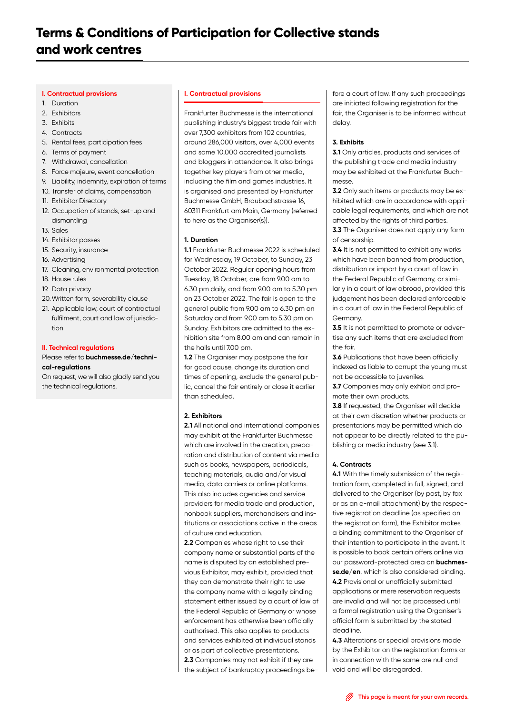# **I. Contractual provisions**

- 1. Duration
- 2. Exhibitors
- 3. Exhibits
- 4. Contracts
- 5. Rental fees, participation fees
- 6. Terms of payment
- 7. Withdrawal, cancellation
- 8. Force majeure, event cancellation
- 9. Liability, indemnity, expiration of terms
- 10. Transfer of claims, compensation
- 11. Exhibitor Directory
- 12. Occupation of stands, set-up and dismantling
- 13. Sales
- 14. Exhibitor passes
- 15. Security, insurance
- 16. Advertising
- 17. Cleaning, environmental protection
- 18. House rules
- 19. Data privacy
- 20. Written form, severability clause
- 21. Applicable law, court of contractual fulfilment, court and law of jurisdiction

## **II. Technical regulations**

# Please refer to **[buchmesse.de/techni](https://www.buchmesse.de/files/media/pdf/terms-and-conditions-of-participation-technical-regulations.pdf)[cal-regulations](https://www.buchmesse.de/files/media/pdf/terms-and-conditions-of-participation-technical-regulations.pdf)**

On request, we will also gladly send you the technical regulations.

## **I. Contractual provisions**

Frankfurter Buchmesse is the international publishing industry's biggest trade fair with over 7,300 exhibitors from 102 countries, around 286,000 visitors, over 4,000 events and some 10,000 accredited journalists and bloggers in attendance. It also brings together key players from other media, including the film and games industries. It is organised and presented by Frankfurter Buchmesse GmbH, Braubachstrasse 16, 60311 Frankfurt am Main, Germany (referred to here as the Organiser(s)).

## **1. Duration**

**1.1** Frankfurter Buchmesse 2022 is scheduled for Wednesday, 19 October, to Sunday, 23 October 2022. Regular opening hours from Tuesday, 18 October, are from 9.00 am to 6.30 pm daily, and from 9.00 am to 5.30 pm on 23 October 2022. The fair is open to the general public from 9.00 am to 6.30 pm on Saturday and from 9.00 am to 5.30 pm on Sunday. Exhibitors are admitted to the exhibition site from 8.00 am and can remain in the halls until 7.00 pm.

**1.2** The Organiser may postpone the fair for good cause, change its duration and times of opening, exclude the general public, cancel the fair entirely or close it earlier than scheduled.

## **2. Exhibitors**

**2.1** All national and international companies may exhibit at the Frankfurter Buchmesse which are involved in the creation, preparation and distribution of content via media such as books, newspapers, periodicals, teaching materials, audio and/or visual media, data carriers or online platforms. This also includes agencies and service providers for media trade and production, nonbook suppliers, merchandisers and institutions or associations active in the areas of culture and education.

**2.2** Companies whose right to use their company name or substantial parts of the name is disputed by an established previous Exhibitor, may exhibit, provided that they can demonstrate their right to use the company name with a legally binding statement either issued by a court of law of the Federal Republic of Germany or whose enforcement has otherwise been officially authorised. This also applies to products and services exhibited at individual stands or as part of collective presentations. **2.3** Companies may not exhibit if they are the subject of bankruptcy proceedings be-

fore a court of law. If any such proceedings are initiated following registration for the fair, the Organiser is to be informed without delay.

## **3. Exhibits**

**3.1** Only articles, products and services of the publishing trade and media industry may be exhibited at the Frankfurter Buchmesse.

**3.2** Only such items or products may be exhibited which are in accordance with applicable legal requirements, and which are not affected by the rights of third parties.

**3.3** The Organiser does not apply any form of censorship.

**3.4** It is not permitted to exhibit any works which have been banned from production. distribution or import by a court of law in the Federal Republic of Germany, or similarly in a court of law abroad, provided this judgement has been declared enforceable in a court of law in the Federal Republic of Germany.

**3.5** It is not permitted to promote or advertise any such items that are excluded from the fair.

**3.6** Publications that have been officially indexed as liable to corrupt the young must not be accessible to juveniles.

**3.7** Companies may only exhibit and promote their own products.

**3.8** If requested, the Organiser will decide at their own discretion whether products or presentations may be permitted which do not appear to be directly related to the publishing or media industry (see 3.1).

## **4. Contracts**

**4.1** With the timely submission of the registration form, completed in full, signed, and delivered to the Organiser (by post, by fax or as an e-mail attachment) by the respective registration deadline (as specified on the registration form), the Exhibitor makes a binding commitment to the Organiser of their intention to participate in the event. It is possible to book certain offers online via our password-protected area on **[buchmes](https://www.buchmesse.de/en)[se.de/en](https://www.buchmesse.de/en)**, which is also considered binding. **4.2** Provisional or unofficially submitted applications or mere reservation requests are invalid and will not be processed until a formal registration using the Organiser's official form is submitted by the stated deadline.

**4.3** Alterations or special provisions made by the Exhibitor on the registration forms or in connection with the same are null and void and will be disregarded.

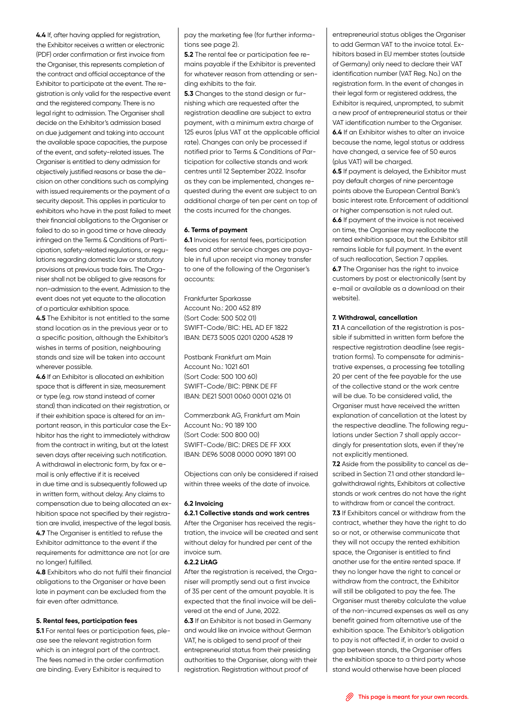**4.4** If, after having applied for registration, the Exhibitor receives a written or electronic (PDF) order confirmation or first invoice from the Organiser, this represents completion of the contract and official acceptance of the Exhibitor to participate at the event. The registration is only valid for the respective event and the registered company. There is no legal right to admission. The Organiser shall decide on the Exhibitor's admission based on due judgement and taking into account the available space capacities, the purpose of the event, and safety-related issues. The Organiser is entitled to deny admission for objectively justified reasons or base the decision on other conditions such as complying with issued requirements or the payment of a security deposit. This applies in particular to exhibitors who have in the past failed to meet their financial obligations to the Organiser or failed to do so in good time or have already infringed on the Terms & Conditions of Participation, safety-related regulations, or regulations regarding domestic law or statutory provisions at previous trade fairs. The Organiser shall not be obliged to give reasons for non-admission to the event. Admission to the event does not yet equate to the allocation of a particular exhibition space.

**4.5** The Exhibitor is not entitled to the same stand location as in the previous year or to a specific position, although the Exhibitor's wishes in terms of position, neighbouring stands and size will be taken into account wherever possible.

**4.6** If an Exhibitor is allocated an exhibition space that is different in size, measurement or type (e.g. row stand instead of corner stand) than indicated on their registration, or if their exhibition space is altered for an important reason, in this particular case the Exhibitor has the right to immediately withdraw from the contract in writing, but at the latest seven days after receiving such notification. A withdrawal in electronic form, by fax or email is only effective if it is received

in due time and is subsequently followed up in written form, without delay. Any claims to compensation due to being allocated an exhibition space not specified by their registration are invalid, irrespective of the legal basis. **4.7** The Organiser is entitled to refuse the Exhibitor admittance to the event if the requirements for admittance are not (or are no longer) fulfilled.

**4.8** Exhibitors who do not fulfil their financial obligations to the Organiser or have been late in payment can be excluded from the fair even after admittance.

## **5. Rental fees, participation fees**

**5.1** For rental fees or participation fees, please see the relevant registration form which is an integral part of the contract. The fees named in the order confirmation are binding. Every Exhibitor is required to

pay the marketing fee (for further informations see page 2).

**5.2** The rental fee or participation fee remains payable if the Exhibitor is prevented for whatever reason from attending or sending exhibits to the fair.

**5.3** Changes to the stand design or furnishing which are requested after the registration deadline are subject to extra payment, with a minimum extra charge of 125 euros (plus VAT at the applicable official rate). Changes can only be processed if notified prior to Terms & Conditions of Participation for collective stands and work centres until 12 September 2022. Insofar as they can be implemented, changes requested during the event are subject to an additional charge of ten per cent on top of the costs incurred for the changes.

#### **6. Terms of payment**

**6.1** Invoices for rental fees, participation fees and other service charges are payable in full upon receipt via money transfer to one of the following of the Organiser's accounts:

Frankfurter Sparkasse Account No.: 200 452 819 (Sort Code: 500 502 01) SWIFT-Code/BIC: HEL AD EF 1822 IBAN: DE73 5005 0201 0200 4528 19

Postbank Frankfurt am Main Account No.: 1021 601 (Sort Code: 500 100 60) SWIFT-Code/BIC: PBNK DE FF IBAN: DE21 5001 0060 0001 0216 01

Commerzbank AG, Frankfurt am Main Account No.: 90 189 100 (Sort Code: 500 800 00) SWIFT-Code/BIC: DRES DE FF XXX IBAN: DE96 5008 0000 0090 1891 00

Objections can only be considered if raised within three weeks of the date of invoice.

## **6.2 Invoicing**

## **6.2.1 Collective stands and work centres**

After the Organiser has received the registration, the invoice will be created and sent without delay for hundred per cent of the invoice sum.

#### **6.2.2 LitAG**

After the registration is received, the Organiser will promptly send out a first invoice of 35 per cent of the amount payable. It is expected that the final invoice will be delivered at the end of June, 2022.

**6.3** If an Exhibitor is not based in Germany and would like an invoice without German VAT, he is obliged to send proof of their entrepreneurial status from their presiding authorities to the Organiser, along with their registration. Registration without proof of

entrepreneurial status obliges the Organiser to add German VAT to the invoice total. Exhibitors based in EU member states (outside of Germany) only need to declare their VAT identification number (VAT Reg. No.) on the registration form. In the event of changes in their legal form or registered address, the Exhibitor is required, unprompted, to submit a new proof of entrepreneurial status or their VAT identification number to the Organiser. **6.4** If an Exhibitor wishes to alter an invoice because the name, legal status or address have changed, a service fee of 50 euros (plus VAT) will be charged.

**6.5** If payment is delayed, the Exhibitor must pay default charges of nine percentage points above the European Central Bank's basic interest rate. Enforcement of additional or higher compensation is not ruled out. **6.6** If payment of the invoice is not received on time, the Organiser may reallocate the rented exhibition space, but the Exhibitor still remains liable for full payment. In the event of such reallocation, Section 7 applies. **6.7** The Organiser has the right to invoice customers by post or electronically (sent by e-mail or available as a download on their website).

# **7. Withdrawal, cancellation**

**7.1** A cancellation of the registration is possible if submitted in written form before the respective registration deadline (see registration forms). To compensate for administrative expenses, a processing fee totalling 20 per cent of the fee payable for the use of the collective stand or the work centre will be due. To be considered valid, the Organiser must have received the written explanation of cancellation at the latest by the respective deadline. The following regulations under Section 7 shall apply accordingly for presentation slots, even if they're not explicitly mentioned.

**7.2** Aside from the possibility to cancel as described in Section 7.1 and other standard legalwithdrawal rights, Exhibitors at collective stands or work centres do not have the right to withdraw from or cancel the contract. **7.3** If Exhibitors cancel or withdraw from the

contract, whether they have the right to do so or not, or otherwise communicate that they will not occupy the rented exhibition space, the Organiser is entitled to find another use for the entire rented space. If they no longer have the right to cancel or withdraw from the contract, the Exhibitor will still be obligated to pay the fee. The Organiser must thereby calculate the value of the non-incurred expenses as well as any benefit gained from alternative use of the exhibition space. The Exhibitor's obligation to pay is not affected if, in order to avoid a gap between stands, the Organiser offers the exhibition space to a third party whose stand would otherwise have been placed

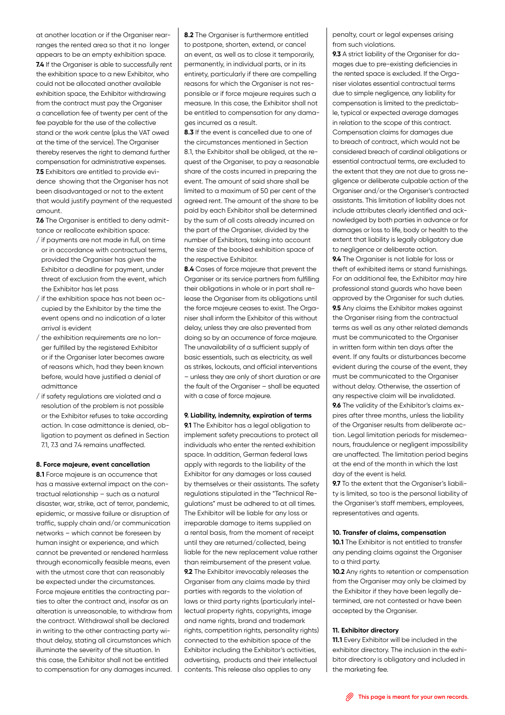at another location or if the Organiser rearranges the rented area so that it no longer appears to be an empty exhibition space. **7.4** If the Organiser is able to successfully rent the exhibition space to a new Exhibitor, who could not be allocated another available exhibition space, the Exhibitor withdrawing from the contract must pay the Organiser a cancellation fee of twenty per cent of the fee payable for the use of the collective stand or the work centre (plus the VAT owed at the time of the service). The Organiser thereby reserves the right to demand further compensation for administrative expenses. **7.5** Exhibitors are entitled to provide evidence showing that the Organiser has not been disadvantaged or not to the extent that would justify payment of the requested amount.

**7.6** The Organiser is entitled to deny admittance or reallocate exhibition space:

- / if payments are not made in full, on time or in accordance with contractual terms, provided the Organiser has given the Exhibitor a deadline for payment, under threat of exclusion from the event, which the Exhibitor has let pass
- / if the exhibition space has not been occupied by the Exhibitor by the time the event opens and no indication of a later arrival is evident
- / the exhibition requirements are no longer fulfilled by the registered Exhibitor or if the Organiser later becomes aware of reasons which, had they been known before, would have justified a denial of admittance
- / if safety regulations are violated and a resolution of the problem is not possible or the Exhibitor refuses to take according action. In case admittance is denied, obligation to payment as defined in Section 7.1, 7.3 and 7.4 remains unaffected.

#### **8. Force majeure, event cancellation**

**8.1** Force majeure is an occurrence that has a massive external impact on the contractual relationship – such as a natural disaster, war, strike, act of terror, pandemic, epidemic, or massive failure or disruption of traffic, supply chain and/or communication networks – which cannot be foreseen by human insight or experience, and which cannot be prevented or rendered harmless through economically feasible means, even with the utmost care that can reasonably be expected under the circumstances. Force majeure entitles the contracting parties to alter the contract and, insofar as an alteration is unreasonable, to withdraw from the contract. Withdrawal shall be declared in writing to the other contracting party without delay, stating all circumstances which illuminate the severity of the situation. In this case, the Exhibitor shall not be entitled to compensation for any damages incurred. **8.2** The Organiser is furthermore entitled to postpone, shorten, extend, or cancel an event, as well as to close it temporarily, permanently, in individual parts, or in its entirety, particularly if there are compelling reasons for which the Organiser is not responsible or if force majeure requires such a measure. In this case, the Exhibitor shall not be entitled to compensation for any damages incurred as a result.

**8.3** If the event is cancelled due to one of the circumstances mentioned in Section 8.1, the Exhibitor shall be obliged, at the request of the Organiser, to pay a reasonable share of the costs incurred in preparing the event. The amount of said share shall be limited to a maximum of 50 per cent of the agreed rent. The amount of the share to be paid by each Exhibitor shall be determined by the sum of all costs already incurred on the part of the Organiser, divided by the number of Exhibitors, taking into account the size of the booked exhibition space of the respective Exhibitor.

**8.4** Cases of force majeure that prevent the Organiser or its service partners from fulfilling their obligations in whole or in part shall release the Organiser from its obligations until the force majeure ceases to exist. The Organiser shall inform the Exhibitor of this without delay, unless they are also prevented from doing so by an occurrence of force majeure. The unavailability of a sufficient supply of basic essentials, such as electricity, as well as strikes, lockouts, and official interventions – unless they are only of short duration or are the fault of the Organiser – shall be equated with a case of force majeure.

#### **9. Liability, indemnity, expiration of terms**

**9.1** The Exhibitor has a legal obligation to implement safety precautions to protect all individuals who enter the rented exhibition space. In addition, German federal laws apply with regards to the liability of the Exhibitor for any damages or loss caused by themselves or their assistants. The safety regulations stipulated in the "Technical Regulations" must be adhered to at all times. The Exhibitor will be liable for any loss or irreparable damage to items supplied on a rental basis, from the moment of receipt until they are returned/collected, being liable for the new replacement value rather than reimbursement of the present value. **9.2** The Exhibitor irrevocably releases the Organiser from any claims made by third parties with regards to the violation of laws or third party rights (particularly intellectual property rights, copyrights, image and name rights, brand and trademark rights, competition rights, personality rights) connected to the exhibition space of the Exhibitor including the Exhibitor's activities, advertising, products and their intellectual contents. This release also applies to any

penalty, court or legal expenses arising from such violations.

**9.3** A strict liability of the Organiser for damages due to pre-existing deficiencies in the rented space is excluded. If the Organiser violates essential contractual terms due to simple negligence, any liability for compensation is limited to the predictable, typical or expected average damages in relation to the scope of this contract. Compensation claims for damages due to breach of contract, which would not be considered breach of cardinal obligations or essential contractual terms, are excluded to the extent that they are not due to gross negligence or deliberate culpable action of the Organiser and/or the Organiser's contracted assistants. This limitation of liability does not include attributes clearly identified and acknowledged by both parties in advance or for damages or loss to life, body or health to the extent that liability is legally obligatory due to negligence or deliberate action.

**9.4** The Organiser is not liable for loss or theft of exhibited items or stand furnishings. For an additional fee, the Exhibitor may hire professional stand guards who have been approved by the Organiser for such duties. **9.5** Any claims the Exhibitor makes against the Organiser rising from the contractual terms as well as any other related demands must be communicated to the Organiser in written form within ten days after the event. If any faults or disturbances become evident during the course of the event, they must be communicated to the Organiser without delay. Otherwise, the assertion of any respective claim will be invalidated. **9.6** The validity of the Exhibitor's claims expires after three months, unless the liability of the Organiser results from deliberate action. Legal limitation periods for misdemeanours, fraudulence or negligent impossibility are unaffected. The limitation period begins at the end of the month in which the last day of the event is held.

**9.7** To the extent that the Organiser's liability is limited, so too is the personal liability of the Organiser's staff members, employees, representatives and agents.

## **10. Transfer of claims, compensation**

**10.1** The Exhibitor is not entitled to transfer any pending claims against the Organiser to a third party.

**10.2** Any rights to retention or compensation from the Organiser may only be claimed by the Exhibitor if they have been legally determined, are not contested or have been accepted by the Organiser.

#### **11. Exhibitor directory**

**11.1** Every Exhibitor will be included in the exhibitor directory. The inclusion in the exhibitor directory is obligatory and included in the marketing fee.

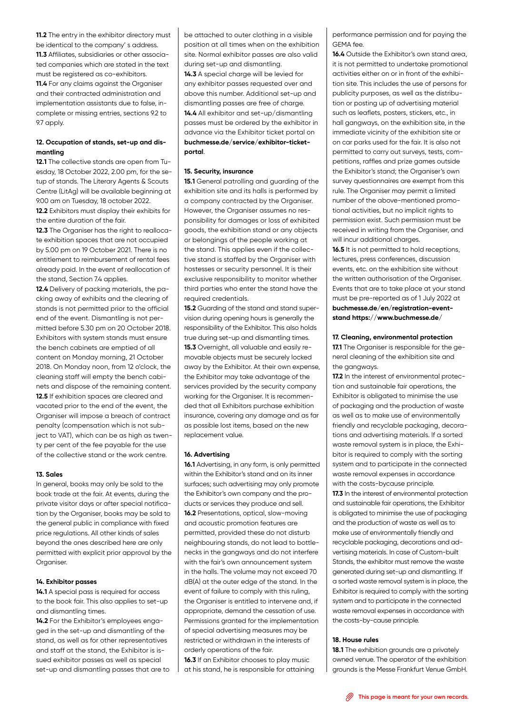**11.2** The entry in the exhibitor directory must be identical to the company' s address. **11.3** Affiliates, subsidiaries or other associated companies which are stated in the text must be registered as co-exhibitors. **11.4** For any claims against the Organiser and their contracted administration and implementation assistants due to false, incomplete or missing entries, sections 9.2 to 9.7 apply.

# **12. Occupation of stands, set-up and dismantling**

**12.1** The collective stands are open from Tuesday, 18 October 2022, 2.00 pm, for the setup of stands. The Literary Agents & Scouts Centre (LitAg) will be available beginning at 9.00 am on Tuesday, 18 october 2022.

**12.2** Exhibitors must display their exhibits for the entire duration of the fair.

**12.3** The Organiser has the right to reallocate exhibition spaces that are not occupied by 5.00 pm on 19 October 2021. There is no entitlement to reimbursement of rental fees already paid. In the event of reallocation of the stand, Section 7.4 applies.

**12.4** Delivery of packing materials, the packing away of exhibits and the clearing of stands is not permitted prior to the official end of the event. Dismantling is not permitted before 5.30 pm on 20 October 2018. Exhibitors with system stands must ensure the bench cabinets are emptied of all content on Monday morning, 21 October 2018. On Monday noon, from 12 o'clock, the cleaning staff will empty the bench cabinets and dispose of the remaining content. **12.5** If exhibition spaces are cleared and vacated prior to the end of the event, the Organiser will impose a breach of contract penalty (compensation which is not subject to VAT), which can be as high as twenty per cent of the fee payable for the use of the collective stand or the work centre.

## **13. Sales**

In general, books may only be sold to the book trade at the fair. At events, during the private visitor days or after special notification by the Organiser, books may be sold to the general public in compliance with fixed price regulations. All other kinds of sales beyond the ones described here are only permitted with explicit prior approval by the Organiser.

# **14. Exhibitor passes**

**14.1** A special pass is required for access to the book fair. This also applies to set-up and dismantling times.

**14.2** For the Exhibitor's employees engaged in the set-up and dismantling of the stand, as well as for other representatives and staff at the stand, the Exhibitor is issued exhibitor passes as well as special set-up and dismantling passes that are to be attached to outer clothing in a visible position at all times when on the exhibition site. Normal exhibitor passes are also valid during set-up and dismantling.

**14.3** A special charge will be levied for any exhibitor passes requested over and above this number. Additional set-up and dismantling passes are free of charge. **14.4** All exhibitor and set-up/dismantling passes must be ordered by the exhibitor in advance via the Exhibitor ticket portal on **[buchmesse.de/service/exhibitor-ticket](https://www.buchmesse.de/en/exhibit/information-exhibitors/exhibitor-ticket-portal)[portal](https://www.buchmesse.de/en/exhibit/information-exhibitors/exhibitor-ticket-portal)**.

# **15. Security, insurance**

**15.1** General patrolling and guarding of the exhibition site and its halls is performed by a company contracted by the Organiser. However, the Organiser assumes no responsibility for damages or loss of exhibited goods, the exhibition stand or any objects or belongings of the people working at the stand. This applies even if the collective stand is staffed by the Organiser with hostesses or security personnel. It is their exclusive responsibility to monitor whether third parties who enter the stand have the required credentials.

**15.2** Guarding of the stand and stand supervision during opening hours is generally the responsibility of the Exhibitor. This also holds true during set-up and dismantling times. **15.3** Overnight, all valuable and easily removable objects must be securely locked away by the Exhibitor. At their own expense, the Exhibitor may take advantage of the services provided by the security company working for the Organiser. It is recommended that all Exhibitors purchase exhibition insurance, covering any damage and as far as possible lost items, based on the new replacement value.

#### **16. Advertising**

**16.1** Advertising, in any form, is only permitted within the Exhibitor's stand and on its inner surfaces; such advertising may only promote the Exhibitor's own company and the products or services they produce and sell. **16.2** Presentations, optical, slow-moving and acoustic promotion features are permitted, provided these do not disturb neighbouring stands, do not lead to bottlenecks in the gangways and do not interfere with the fair's own announcement system in the halls. The volume may not exceed 70 dB(A) at the outer edge of the stand. In the event of failure to comply with this ruling, the Organiser is entitled to intervene and, if appropriate, demand the cessation of use. Permissions granted for the implementation of special advertising measures may be restricted or withdrawn in the interests of orderly operations of the fair.

**16.3** If an Exhibitor chooses to play music at his stand, he is responsible for attaining

performance permission and for paying the GEMA fee.

**16.4** Outside the Exhibitor's own stand area, it is not permitted to undertake promotional activities either on or in front of the exhibition site. This includes the use of persons for publicity purposes, as well as the distribution or posting up of advertising material such as leaflets, posters, stickers, etc., in hall gangways, on the exhibition site, in the immediate vicinity of the exhibition site or on car parks used for the fair. It is also not permitted to carry out surveys, tests, competitions, raffles and prize games outside the Exhibitor's stand; the Organiser's own survey questionnaires are exempt from this rule. The Organiser may permit a limited number of the above-mentioned promotional activities, but no implicit rights to permission exist. Such permission must be received in writing from the Organiser, and will incur additional charges.

**16.5** It is not permitted to hold receptions, lectures, press conferences, discussion events, etc. on the exhibition site without the written authorisation of the Organiser. Events that are to take place at your stand must be pre-reported as of 1 July 2022 at **[buchmesse.de/en/registration-event](https://www.buchmesse.de/en/registration-event-stand)[stand](https://www.buchmesse.de/en/registration-event-stand) https://www.buchmesse.de/** 

#### **17. Cleaning, environmental protection**

**17.1** The Organiser is responsible for the general cleaning of the exhibition site and the gangways.

**17.2** In the interest of environmental protection and sustainable fair operations, the Exhibitor is obligated to minimise the use of packaging and the production of waste as well as to make use of environmentally friendly and recyclable packaging, decorations and advertising materials. If a sorted waste removal system is in place, the Exhibitor is required to comply with the sorting system and to participate in the connected waste removal expenses in accordance with the costs-bycause principle.

**17.3** In the interest of environmental protection and sustainable fair operations, the Exhibitor is obligated to minimise the use of packaging and the production of waste as well as to make use of environmentally friendly and recyclable packaging, decorations and advertising materials. In case of Custom-built Stands, the exhibitor must remove the waste generated during set-up and dismantling. If a sorted waste removal system is in place, the Exhibitor is required to comply with the sorting system and to participate in the connected waste removal expenses in accordance with the costs-by-cause principle.

#### **18. House rules**

**18.1** The exhibition grounds are a privately owned venue. The operator of the exhibition grounds is the Messe Frankfurt Venue GmbH.